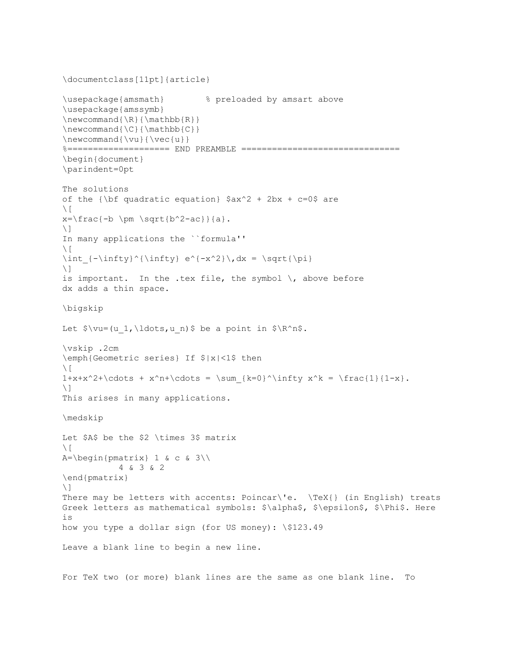```
\documentclass[11pt]{article}
\usepackage{amsmath} % preloaded by amsart above
\usepackage{amssymb}
\newcommand{\R}{\mathbb{R}}\newcommand{\C}{\mathbb{C}}\newcommand{\vlabel{v}{\vee}%====================== END PREAMBLE =================================
\begin{document}
\parindent=0pt
The solutions 
of the {\bf quadratic equation} $ax^2 + 2bx + c=0$ are\setminus[
x=\frac{-b \pm \sqrt{b^2-ac}}{a}.\setminus]
In many applications the ``formula''
\setminus [
\int {-\infty}^{\infty} e^{-(x^2)}\,dx = \sqrt{\pi}\setminus]
is important. In the .tex file, the symbol \setminus, above before
dx adds a thin space.
\bigskip
Let \forall w=(u_1,\ldots,u_n) be a point in \forall R^n.
\vskip .2cm
\emph{Geometric series} If $|x|<1$ then
\setminus[
1+x+x^2+\cdots + x^h+\cdots = \sum_{k=0}^{\infty} x^k = \frac{1}{1-x}.\setminus]
This arises in many applications.
\medskip
Let $A$ be the $2 \times 3$ matrix
\setminus [
A=\begin{pmatrix}pmatrix&1&6&c&3\end{pmatrix} 4 & 3 & 2
\end{pmatrix}
\setminus]
There may be letters with accents: Poincar\'e. \TeX{} (in English) treats
Greek letters as mathematical symbols: $\alpha$, $\epsilon$, $\Phi$. Here 
is
how you type a dollar sign (for US money): \$123.49 
Leave a blank line to begin a new line.
```
For TeX two (or more) blank lines are the same as one blank line. To